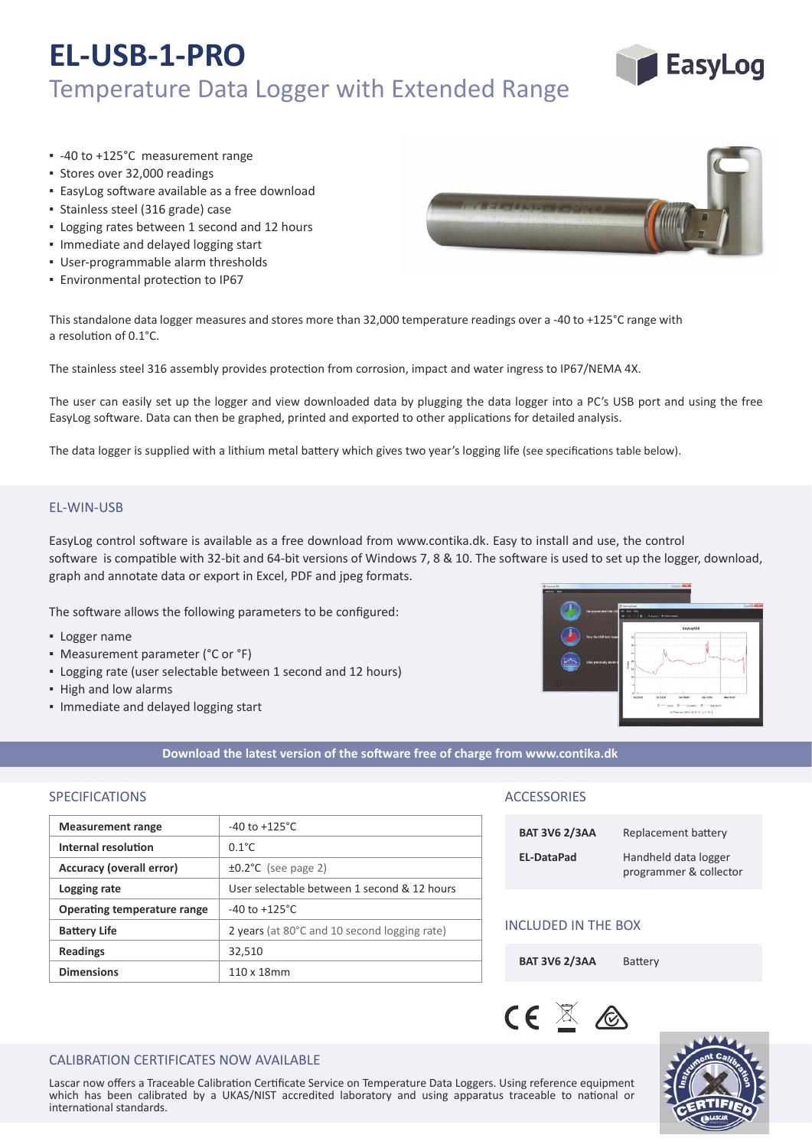# **EL-USB-1-PRO** Temperature Data Logger with Extended Range



- -40 to +125°C measurement range
- Stores over 32,000 readings
- **EasyLog software available as a free download**
- Stainless steel (316 grade) case
- Logging rates between 1 second and 12 hours
- Immediate and delayed logging start
- User‐programmable alarm thresholds
- **Environmental protection to IP67**



This standalone data logger measures and stores more than 32,000 temperature readings over a -40 to +125°C range with a resolution of 0.1°C.

The stainless steel 316 assembly provides protection from corrosion, impact and water ingress to IP67/NEMA 4X.

The user can easily set up the logger and view downloaded data by plugging the data logger into a PC's USB port and using the free EasyLog software. Data can then be graphed, printed and exported to other applications for detailed analysis.

The data logger is supplied with a lithium metal battery which gives two year's logging life (see specifications table below).

## EL‐WIN‐USB

EasyLog control so�ware is available as a free download from www.contika.dk. Easy to install and use, the control software is compatible with 32-bit and 64-bit versions of Windows 7, 8 & 10. The software is used to set up the logger, download, graph and annotate data or export in Excel, PDF and jpeg formats.

The software allows the following parameters to be configured:

- Logger name
- Measurement parameter (°C or °F)
- Logging rate (user selectable between 1 second and 12 hours)
- High and low alarms
- Immediate and delayed logging start



#### **Download the latest version of the so�ware free of charge from www.contika.dk**

# SPECIFICATIONS ACCESSORIES

| <b>Measurement range</b>    | $-40$ to $+125^{\circ}$ C                    |  |
|-----------------------------|----------------------------------------------|--|
| Internal resolution         | $0.1^{\circ}$ C                              |  |
| Accuracy (overall error)    | $\pm 0.2^{\circ}$ C (see page 2)             |  |
| Logging rate                | User selectable between 1 second & 12 hours  |  |
| Operating temperature range | $-40$ to $+125^{\circ}$ C                    |  |
| <b>Battery Life</b>         | 2 years (at 80°C and 10 second logging rate) |  |
| <b>Readings</b>             | 32,510                                       |  |
| <b>Dimensions</b>           | 110 x 18mm                                   |  |
|                             |                                              |  |

| <b>BAT 3V6 2/3AA</b> | Replacement battery                            |
|----------------------|------------------------------------------------|
| EL-DataPad           | Handheld data logger<br>programmer & collector |

# INCLUDED IN THE BOX

BAT 3V6 2/3AA Battery





# CALIBRATION CERTIFICATES NOW AVAILABLE

Lascar now offers a Traceable Calibration Certificate Service on Temperature Data Loggers. Using reference equipment which has been calibrated by a UKAS/NIST accredited laboratory and using apparatus traceable to national or international standards.